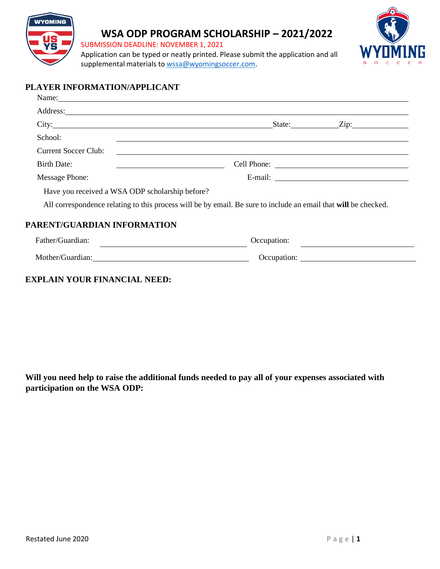

# **WSA ODP PROGRAM SCHOLARSHIP – 2021/2022**

SUBMISSION DEADLINE: NOVEMBER 1, 2021

Application can be typed or neatly printed. Please submit the application and all supplemental materials to [wssa@wyomingsoccer.com.](file:///C:/Users/lhuls/Downloads/wssa@wyomingsoccer.com)



## **PLAYER INFORMATION/APPLICANT**

|                                                 | Name:                                                                                                                                                                                                                                               |
|-------------------------------------------------|-----------------------------------------------------------------------------------------------------------------------------------------------------------------------------------------------------------------------------------------------------|
|                                                 |                                                                                                                                                                                                                                                     |
| City: City:                                     | $\text{State:}$ $\qquad \qquad \text{Zip:}$                                                                                                                                                                                                         |
| School:                                         |                                                                                                                                                                                                                                                     |
| <b>Current Soccer Club:</b>                     | <u> 1999 - Johann Johann Harry Harry Harry Harry Harry Harry Harry Harry Harry Harry Harry Harry Harry Harry Harry Harry Harry Harry Harry Harry Harry Harry Harry Harry Harry Harry Harry Harry Harry Harry Harry Harry Harry H</u>                |
| <b>Birth Date:</b>                              | <u> 1980 - Andrea Andrew Maria (h. 1980).</u>                                                                                                                                                                                                       |
| <b>Message Phone:</b>                           |                                                                                                                                                                                                                                                     |
| Have you received a WSA ODP scholarship before? |                                                                                                                                                                                                                                                     |
|                                                 | All correspondence relating to this process will be by email. Be sure to include an email that will be checked.                                                                                                                                     |
| PARENT/GUARDIAN INFORMATION                     |                                                                                                                                                                                                                                                     |
| Father/Guardian:                                | Occupation:<br><u>and the state of the state of the state of the state of the state of the state of the state of the state of the state of the state of the state of the state of the state of the state of the state of the state of the state</u> |
| Mother/Guardian: 1999 Mother/Guardian:          | Occupation:                                                                                                                                                                                                                                         |

#### **EXPLAIN YOUR FINANCIAL NEED:**

**Will you need help to raise the additional funds needed to pay all of your expenses associated with participation on the WSA ODP:**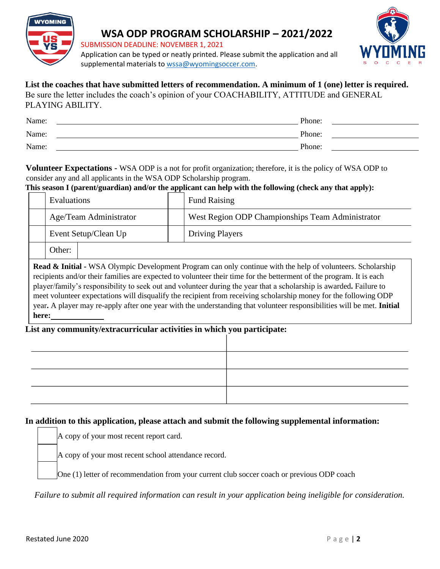

# **WSA ODP PROGRAM SCHOLARSHIP – 2021/2022**

SUBMISSION DEADLINE: NOVEMBER 1, 2021



Application can be typed or neatly printed. Please submit the application and all supplemental materials to [wssa@wyomingsoccer.com.](file:///C:/Users/lhuls/Downloads/wssa@wyomingsoccer.com)

#### **List the coaches that have submitted letters of recommendation. A minimum of 1 (one) letter is required.** Be sure the letter includes the coach's opinion of your COACHABILITY, ATTITUDE and GENERAL PLAYING ABILITY.

| Name: | Phone: |  |
|-------|--------|--|
| Name: | Phone: |  |
| Name: | Phone: |  |

#### **Volunteer Expectations -** WSA ODP is a not for profit organization; therefore, it is the policy of WSA ODP to consider any and all applicants in the WSA ODP Scholarship program.

#### **This season I (parent/guardian) and/or the applicant can help with the following (check any that apply):**

| <b>Evaluations</b>     |  | <b>Fund Raising</b>                              |
|------------------------|--|--------------------------------------------------|
| Age/Team Administrator |  | West Region ODP Championships Team Administrator |
| Event Setup/Clean Up   |  | <b>Driving Players</b>                           |
| Other:                 |  |                                                  |

**Read & Initial -** WSA Olympic Development Program can only continue with the help of volunteers. Scholarship recipients and/or their families are expected to volunteer their time for the betterment of the program. It is each player/family's responsibility to seek out and volunteer during the year that a scholarship is awarded**.** Failure to meet volunteer expectations will disqualify the recipient from receiving scholarship money for the following ODP year**.** A player may re-apply after one year with the understanding that volunteer responsibilities will be met. **Initial here:**

### **List any community/extracurricular activities in which you participate:**

## **In addition to this application, please attach and submit the following supplemental information:**

A copy of your most recent report card.

A copy of your most recent school attendance record.

One (1) letter of recommendation from your current club soccer coach or previous ODP coach

*Failure to submit all required information can result in your application being ineligible for consideration.*